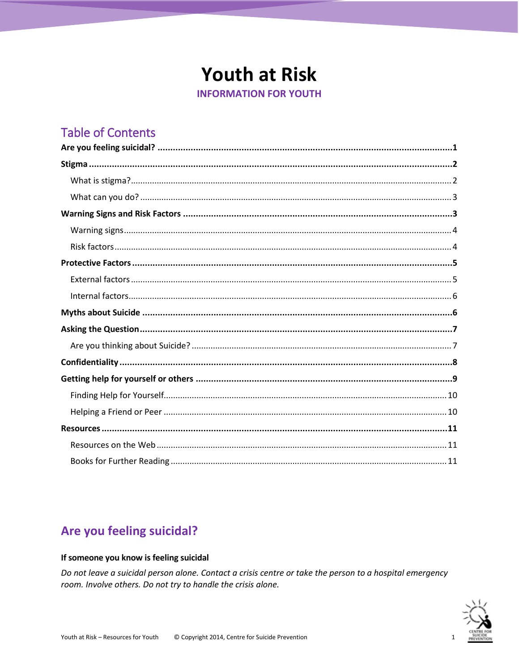# **Youth at Risk**

**INFORMATION FOR YOUTH** 

## **Table of Contents**

## <span id="page-0-0"></span>Are you feeling suicidal?

#### If someone you know is feeling suicidal

Do not leave a suicidal person alone. Contact a crisis centre or take the person to a hospital emergency room. Involve others. Do not try to handle the crisis alone.

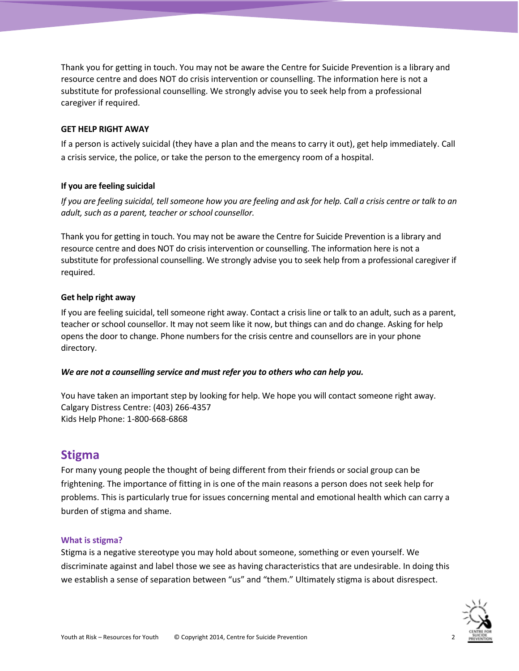Thank you for getting in touch. You may not be aware the Centre for Suicide Prevention is a library and resource centre and does NOT do crisis intervention or counselling. The information here is not a substitute for professional counselling. We strongly advise you to seek help from a professional caregiver if required.

#### **GET HELP RIGHT AWAY**

If a person is actively suicidal (they have a plan and the means to carry it out), get help immediately. Call a crisis service, the police, or take the person to the emergency room of a hospital.

#### **If you are feeling suicidal**

*If you are feeling suicidal, tell someone how you are feeling and ask for help. Call a crisis centre or talk to an adult, such as a parent, teacher or school counsellor.*

Thank you for getting in touch. You may not be aware the Centre for Suicide Prevention is a library and resource centre and does NOT do crisis intervention or counselling. The information here is not a substitute for professional counselling. We strongly advise you to seek help from a professional caregiver if required.

#### **Get help right away**

If you are feeling suicidal, tell someone right away. Contact a crisis line or talk to an adult, such as a parent, teacher or school counsellor. It may not seem like it now, but things can and do change. Asking for help opens the door to change. Phone numbers for the crisis centre and counsellors are in your phone directory.

#### *We are not a counselling service and must refer you to others who can help you.*

You have taken an important step by looking for help. We hope you will contact someone right away. Calgary Distress Centre: (403) 266-4357 Kids Help Phone: 1-800-668-6868

#### <span id="page-1-0"></span>**Stigma**

For many young people the thought of being different from their friends or social group can be frightening. The importance of fitting in is one of the main reasons a person does not seek help for problems. This is particularly true for issues concerning mental and emotional health which can carry a burden of stigma and shame.

#### <span id="page-1-1"></span>**What is stigma?**

Stigma is a negative stereotype you may hold about someone, something or even yourself. We discriminate against and label those we see as having characteristics that are undesirable. In doing this we establish a sense of separation between "us" and "them." Ultimately stigma is about disrespect.

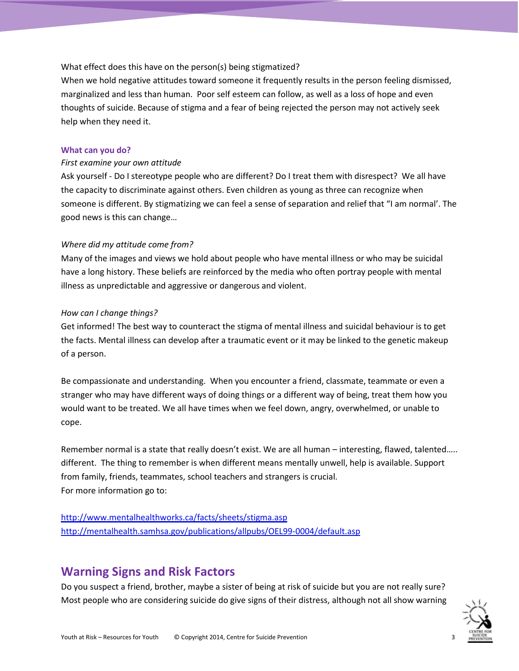#### What effect does this have on the person(s) being stigmatized?

When we hold negative attitudes toward someone it frequently results in the person feeling dismissed, marginalized and less than human. Poor self esteem can follow, as well as a loss of hope and even thoughts of suicide. Because of stigma and a fear of being rejected the person may not actively seek help when they need it.

#### <span id="page-2-0"></span>**What can you do?**

#### *First examine your own attitude*

Ask yourself - Do I stereotype people who are different? Do I treat them with disrespect? We all have the capacity to discriminate against others. Even children as young as three can recognize when someone is different. By stigmatizing we can feel a sense of separation and relief that "I am normal'. The good news is this can change…

#### *Where did my attitude come from?*

Many of the images and views we hold about people who have mental illness or who may be suicidal have a long history. These beliefs are reinforced by the media who often portray people with mental illness as unpredictable and aggressive or dangerous and violent.

#### *How can I change things?*

Get informed! The best way to counteract the stigma of mental illness and suicidal behaviour is to get the facts. Mental illness can develop after a traumatic event or it may be linked to the genetic makeup of a person.

Be compassionate and understanding. When you encounter a friend, classmate, teammate or even a stranger who may have different ways of doing things or a different way of being, treat them how you would want to be treated. We all have times when we feel down, angry, overwhelmed, or unable to cope.

Remember normal is a state that really doesn't exist. We are all human – interesting, flawed, talented….. different. The thing to remember is when different means mentally unwell, help is available. Support from family, friends, teammates, school teachers and strangers is crucial. For more information go to:

<http://www.mentalhealthworks.ca/facts/sheets/stigma.asp> <http://mentalhealth.samhsa.gov/publications/allpubs/OEL99-0004/default.asp>

## <span id="page-2-1"></span>**Warning Signs and Risk Factors**

Do you suspect a friend, brother, maybe a sister of being at risk of suicide but you are not really sure? Most people who are considering suicide do give signs of their distress, although not all show warning

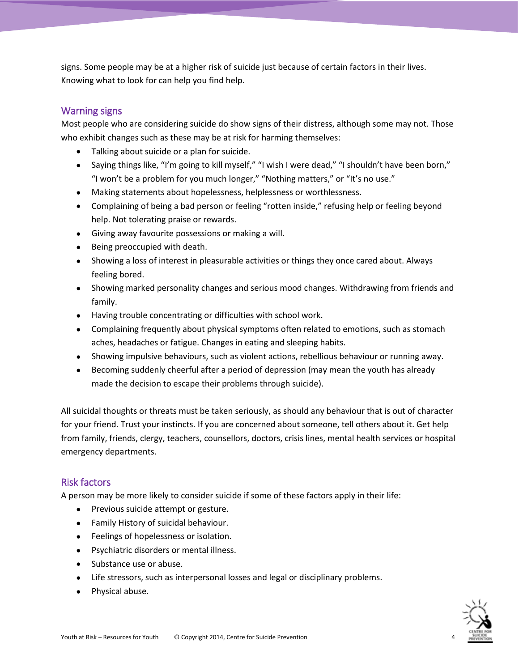signs. Some people may be at a higher risk of suicide just because of certain factors in their lives. Knowing what to look for can help you find help.

### <span id="page-3-0"></span>Warning signs

Most people who are considering suicide do show signs of their distress, although some may not. Those who exhibit changes such as these may be at risk for harming themselves:

- Talking about suicide or a plan for suicide.
- Saying things like, "I'm going to kill myself," "I wish I were dead," "I shouldn't have been born," "I won't be a problem for you much longer," "Nothing matters," or "It's no use."
- Making statements about hopelessness, helplessness or worthlessness.
- Complaining of being a bad person or feeling "rotten inside," refusing help or feeling beyond help. Not tolerating praise or rewards.
- Giving away favourite possessions or making a will.
- Being preoccupied with death.
- Showing a loss of interest in pleasurable activities or things they once cared about. Always feeling bored.
- Showing marked personality changes and serious mood changes. Withdrawing from friends and family.
- Having trouble concentrating or difficulties with school work.
- Complaining frequently about physical symptoms often related to emotions, such as stomach aches, headaches or fatigue. Changes in eating and sleeping habits.
- Showing impulsive behaviours, such as violent actions, rebellious behaviour or running away.
- Becoming suddenly cheerful after a period of depression (may mean the youth has already made the decision to escape their problems through suicide).

All suicidal thoughts or threats must be taken seriously, as should any behaviour that is out of character for your friend. Trust your instincts. If you are concerned about someone, tell others about it. Get help from family, friends, clergy, teachers, counsellors, doctors, crisis lines, mental health services or hospital emergency departments.

### <span id="page-3-1"></span>Risk factors

A person may be more likely to consider suicide if some of these factors apply in their life:

- Previous suicide attempt or gesture.
- Family History of suicidal behaviour.
- **•** Feelings of hopelessness or isolation.
- Psychiatric disorders or mental illness.
- Substance use or abuse.
- Life stressors, such as interpersonal losses and legal or disciplinary problems.
- Physical abuse.

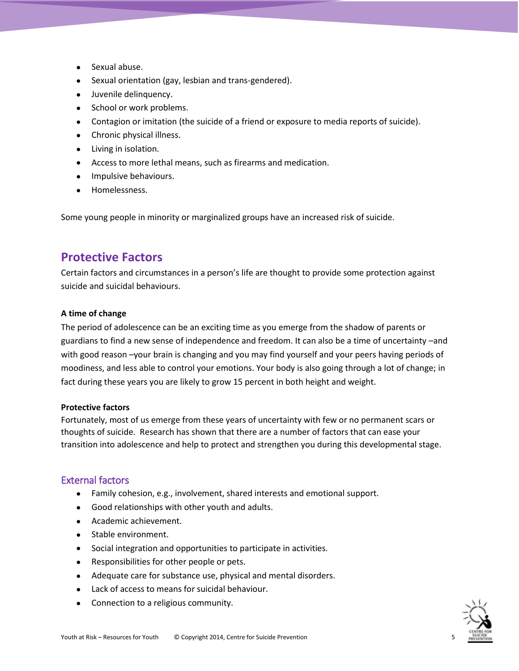- Sexual abuse.
- Sexual orientation (gay, lesbian and trans-gendered).
- Juvenile delinquency.
- School or work problems.
- Contagion or imitation (the suicide of a friend or exposure to media reports of suicide).
- Chronic physical illness.
- Living in isolation.
- Access to more lethal means, such as firearms and medication.
- **•** Impulsive behaviours.
- Homelessness.

Some young people in minority or marginalized groups have an increased risk of suicide.

## <span id="page-4-0"></span>**Protective Factors**

Certain factors and circumstances in a person's life are thought to provide some protection against suicide and suicidal behaviours.

#### **A time of change**

The period of adolescence can be an exciting time as you emerge from the shadow of parents or guardians to find a new sense of independence and freedom. It can also be a time of uncertainty –and with good reason –your brain is changing and you may find yourself and your peers having periods of moodiness, and less able to control your emotions. Your body is also going through a lot of change; in fact during these years you are likely to grow 15 percent in both height and weight.

#### **Protective factors**

Fortunately, most of us emerge from these years of uncertainty with few or no permanent scars or thoughts of suicide. Research has shown that there are a number of factors that can ease your transition into adolescence and help to protect and strengthen you during this developmental stage.

#### <span id="page-4-1"></span>External factors

- Family cohesion, e.g., involvement, shared interests and emotional support.
- Good relationships with other youth and adults.
- Academic achievement.
- Stable environment.
- Social integration and opportunities to participate in activities.
- Responsibilities for other people or pets.
- Adequate care for substance use, physical and mental disorders.
- Lack of access to means for suicidal behaviour.
- Connection to a religious community.

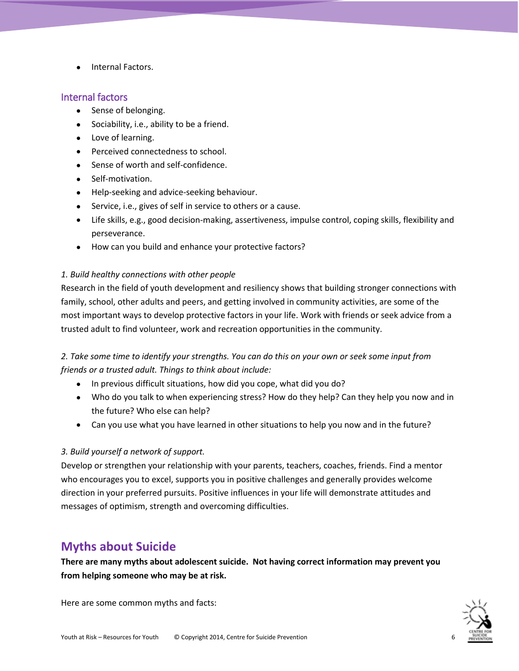Internal Factors.

#### <span id="page-5-0"></span>Internal factors

- Sense of belonging.
- Sociability, i.e., ability to be a friend.
- Love of learning.
- Perceived connectedness to school.
- Sense of worth and self-confidence.
- Self-motivation.
- Help-seeking and advice-seeking behaviour.
- Service, i.e., gives of self in service to others or a cause.
- Life skills, e.g., good decision-making, assertiveness, impulse control, coping skills, flexibility and perseverance.
- How can you build and enhance your protective factors?

#### *1. Build healthy connections with other people*

Research in the field of youth development and resiliency shows that building stronger connections with family, school, other adults and peers, and getting involved in community activities, are some of the most important ways to develop protective factors in your life. Work with friends or seek advice from a trusted adult to find volunteer, work and recreation opportunities in the community.

### *2. Take some time to identify your strengths. You can do this on your own or seek some input from friends or a trusted adult. Things to think about include:*

- In previous difficult situations, how did you cope, what did you do?
- Who do you talk to when experiencing stress? How do they help? Can they help you now and in the future? Who else can help?
- Can you use what you have learned in other situations to help you now and in the future?

#### *3. Build yourself a network of support.*

Develop or strengthen your relationship with your parents, teachers, coaches, friends. Find a mentor who encourages you to excel, supports you in positive challenges and generally provides welcome direction in your preferred pursuits. Positive influences in your life will demonstrate attitudes and messages of optimism, strength and overcoming difficulties.

## <span id="page-5-1"></span>**Myths about Suicide**

**There are many myths about adolescent suicide. Not having correct information may prevent you from helping someone who may be at risk.**

Here are some common myths and facts:

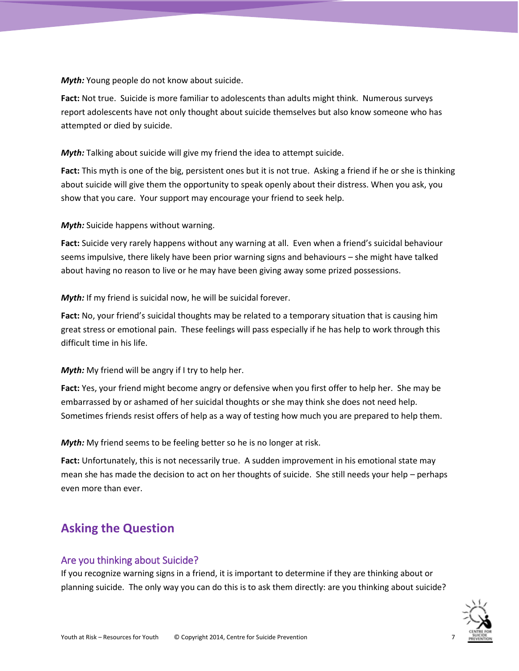*Myth:* Young people do not know about suicide.

**Fact:** Not true. Suicide is more familiar to adolescents than adults might think. Numerous surveys report adolescents have not only thought about suicide themselves but also know someone who has attempted or died by suicide.

*Myth:* Talking about suicide will give my friend the idea to attempt suicide.

**Fact:** This myth is one of the big, persistent ones but it is not true. Asking a friend if he or she is thinking about suicide will give them the opportunity to speak openly about their distress. When you ask, you show that you care. Your support may encourage your friend to seek help.

*Myth:* Suicide happens without warning.

**Fact:** Suicide very rarely happens without any warning at all. Even when a friend's suicidal behaviour seems impulsive, there likely have been prior warning signs and behaviours – she might have talked about having no reason to live or he may have been giving away some prized possessions.

*Myth:* If my friend is suicidal now, he will be suicidal forever.

**Fact:** No, your friend's suicidal thoughts may be related to a temporary situation that is causing him great stress or emotional pain. These feelings will pass especially if he has help to work through this difficult time in his life.

#### *Myth:* My friend will be angry if I try to help her.

**Fact:** Yes, your friend might become angry or defensive when you first offer to help her. She may be embarrassed by or ashamed of her suicidal thoughts or she may think she does not need help. Sometimes friends resist offers of help as a way of testing how much you are prepared to help them.

*Myth:* My friend seems to be feeling better so he is no longer at risk.

**Fact:** Unfortunately, this is not necessarily true. A sudden improvement in his emotional state may mean she has made the decision to act on her thoughts of suicide. She still needs your help – perhaps even more than ever.

## <span id="page-6-0"></span>**Asking the Question**

#### <span id="page-6-1"></span>Are you thinking about Suicide?

If you recognize warning signs in a friend, it is important to determine if they are thinking about or planning suicide. The only way you can do this is to ask them directly: are you thinking about suicide?

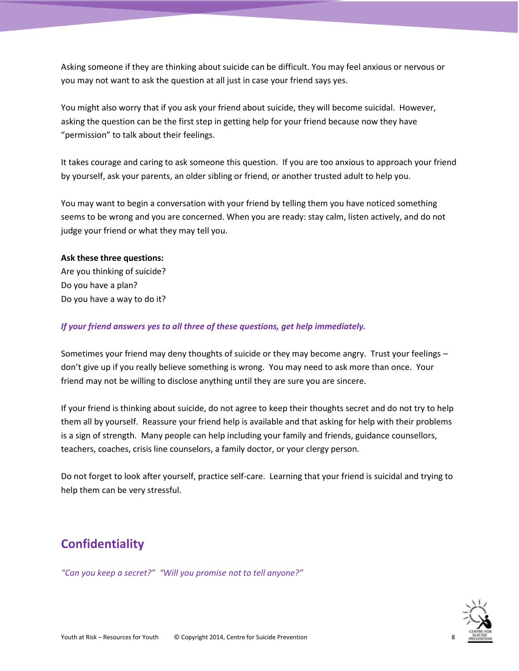Asking someone if they are thinking about suicide can be difficult. You may feel anxious or nervous or you may not want to ask the question at all just in case your friend says yes.

You might also worry that if you ask your friend about suicide, they will become suicidal. However, asking the question can be the first step in getting help for your friend because now they have "permission" to talk about their feelings.

It takes courage and caring to ask someone this question. If you are too anxious to approach your friend by yourself, ask your parents, an older sibling or friend, or another trusted adult to help you.

You may want to begin a conversation with your friend by telling them you have noticed something seems to be wrong and you are concerned. When you are ready: stay calm, listen actively, and do not judge your friend or what they may tell you.

#### **Ask these three questions:**

Are you thinking of suicide? Do you have a plan? Do you have a way to do it?

#### *If your friend answers yes to all three of these questions, get help immediately.*

Sometimes your friend may deny thoughts of suicide or they may become angry. Trust your feelings – don't give up if you really believe something is wrong. You may need to ask more than once. Your friend may not be willing to disclose anything until they are sure you are sincere.

If your friend is thinking about suicide, do not agree to keep their thoughts secret and do not try to help them all by yourself. Reassure your friend help is available and that asking for help with their problems is a sign of strength. Many people can help including your family and friends, guidance counsellors, teachers, coaches, crisis line counselors, a family doctor, or your clergy person.

Do not forget to look after yourself, practice self-care. Learning that your friend is suicidal and trying to help them can be very stressful.

## <span id="page-7-0"></span>**Confidentiality**

*"Can you keep a secret?" "Will you promise not to tell anyone?"*

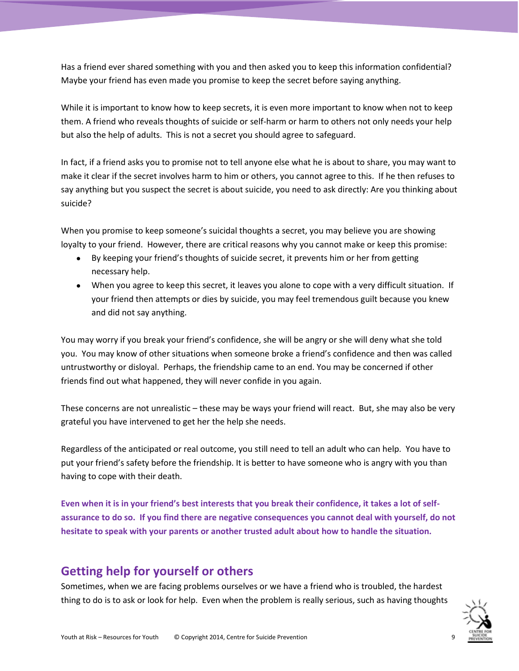Has a friend ever shared something with you and then asked you to keep this information confidential? Maybe your friend has even made you promise to keep the secret before saying anything.

While it is important to know how to keep secrets, it is even more important to know when not to keep them. A friend who reveals thoughts of suicide or self-harm or harm to others not only needs your help but also the help of adults. This is not a secret you should agree to safeguard.

In fact, if a friend asks you to promise not to tell anyone else what he is about to share, you may want to make it clear if the secret involves harm to him or others, you cannot agree to this. If he then refuses to say anything but you suspect the secret is about suicide, you need to ask directly: Are you thinking about suicide?

When you promise to keep someone's suicidal thoughts a secret, you may believe you are showing loyalty to your friend. However, there are critical reasons why you cannot make or keep this promise:

- By keeping your friend's thoughts of suicide secret, it prevents him or her from getting necessary help.
- When you agree to keep this secret, it leaves you alone to cope with a very difficult situation. If your friend then attempts or dies by suicide, you may feel tremendous guilt because you knew and did not say anything.

You may worry if you break your friend's confidence, she will be angry or she will deny what she told you. You may know of other situations when someone broke a friend's confidence and then was called untrustworthy or disloyal. Perhaps, the friendship came to an end. You may be concerned if other friends find out what happened, they will never confide in you again.

These concerns are not unrealistic – these may be ways your friend will react. But, she may also be very grateful you have intervened to get her the help she needs.

Regardless of the anticipated or real outcome, you still need to tell an adult who can help. You have to put your friend's safety before the friendship. It is better to have someone who is angry with you than having to cope with their death.

**Even when it is in your friend's best interests that you break their confidence, it takes a lot of selfassurance to do so. If you find there are negative consequences you cannot deal with yourself, do not hesitate to speak with your parents or another trusted adult about how to handle the situation.**

## <span id="page-8-0"></span>**Getting help for yourself or others**

Sometimes, when we are facing problems ourselves or we have a friend who is troubled, the hardest thing to do is to ask or look for help. Even when the problem is really serious, such as having thoughts

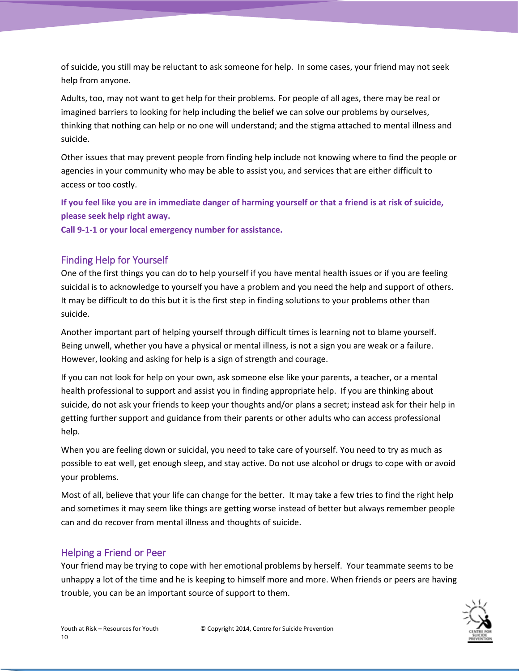of suicide, you still may be reluctant to ask someone for help. In some cases, your friend may not seek help from anyone.

Adults, too, may not want to get help for their problems. For people of all ages, there may be real or imagined barriers to looking for help including the belief we can solve our problems by ourselves, thinking that nothing can help or no one will understand; and the stigma attached to mental illness and suicide.

Other issues that may prevent people from finding help include not knowing where to find the people or agencies in your community who may be able to assist you, and services that are either difficult to access or too costly.

**If you feel like you are in immediate danger of harming yourself or that a friend is at risk of suicide, please seek help right away.**

**Call 9-1-1 or your local emergency number for assistance.**

## <span id="page-9-0"></span>Finding Help for Yourself

One of the first things you can do to help yourself if you have mental health issues or if you are feeling suicidal is to acknowledge to yourself you have a problem and you need the help and support of others. It may be difficult to do this but it is the first step in finding solutions to your problems other than suicide.

Another important part of helping yourself through difficult times is learning not to blame yourself. Being unwell, whether you have a physical or mental illness, is not a sign you are weak or a failure. However, looking and asking for help is a sign of strength and courage.

If you can not look for help on your own, ask someone else like your parents, a teacher, or a mental health professional to support and assist you in finding appropriate help. If you are thinking about suicide, do not ask your friends to keep your thoughts and/or plans a secret; instead ask for their help in getting further support and guidance from their parents or other adults who can access professional help.

When you are feeling down or suicidal, you need to take care of yourself. You need to try as much as possible to eat well, get enough sleep, and stay active. Do not use alcohol or drugs to cope with or avoid your problems.

Most of all, believe that your life can change for the better. It may take a few tries to find the right help and sometimes it may seem like things are getting worse instead of better but always remember people can and do recover from mental illness and thoughts of suicide.

## <span id="page-9-1"></span>Helping a Friend or Peer

Your friend may be trying to cope with her emotional problems by herself. Your teammate seems to be unhappy a lot of the time and he is keeping to himself more and more. When friends or peers are having trouble, you can be an important source of support to them.

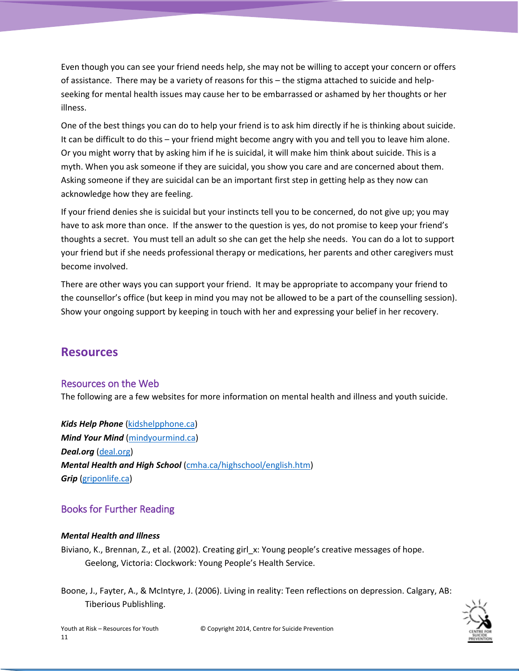Even though you can see your friend needs help, she may not be willing to accept your concern or offers of assistance. There may be a variety of reasons for this – the stigma attached to suicide and helpseeking for mental health issues may cause her to be embarrassed or ashamed by her thoughts or her illness.

One of the best things you can do to help your friend is to ask him directly if he is thinking about suicide. It can be difficult to do this – your friend might become angry with you and tell you to leave him alone. Or you might worry that by asking him if he is suicidal, it will make him think about suicide. This is a myth. When you ask someone if they are suicidal, you show you care and are concerned about them. Asking someone if they are suicidal can be an important first step in getting help as they now can acknowledge how they are feeling.

If your friend denies she is suicidal but your instincts tell you to be concerned, do not give up; you may have to ask more than once. If the answer to the question is yes, do not promise to keep your friend's thoughts a secret. You must tell an adult so she can get the help she needs. You can do a lot to support your friend but if she needs professional therapy or medications, her parents and other caregivers must become involved.

There are other ways you can support your friend. It may be appropriate to accompany your friend to the counsellor's office (but keep in mind you may not be allowed to be a part of the counselling session). Show your ongoing support by keeping in touch with her and expressing your belief in her recovery.

## <span id="page-10-0"></span>**Resources**

### <span id="page-10-1"></span>Resources on the Web

The following are a few websites for more information on mental health and illness and youth suicide.

*Kids Help Phone* [\(kidshelpphone.ca\)](kidshelpphone.ca) *Mind Your Mind* [\(mindyourmind.ca\)](mindyourmind.ca) *Deal.org* [\(deal.org\)](deal.org) *Mental Health and High School* [\(cmha.ca/highschool/english.htm\)](cmha.ca/highschool/english.htm) *Grip* [\(griponlife.ca\)](griponlife.ca)

## <span id="page-10-2"></span>Books for Further Reading

#### *Mental Health and Illness*

Biviano, K., Brennan, Z., et al. (2002). Creating girl\_x: Young people's creative messages of hope. Geelong, Victoria: Clockwork: Young People's Health Service.

Boone, J., Fayter, A., & McIntyre, J. (2006). Living in reality: Teen reflections on depression. Calgary, AB: Tiberious Publishling.